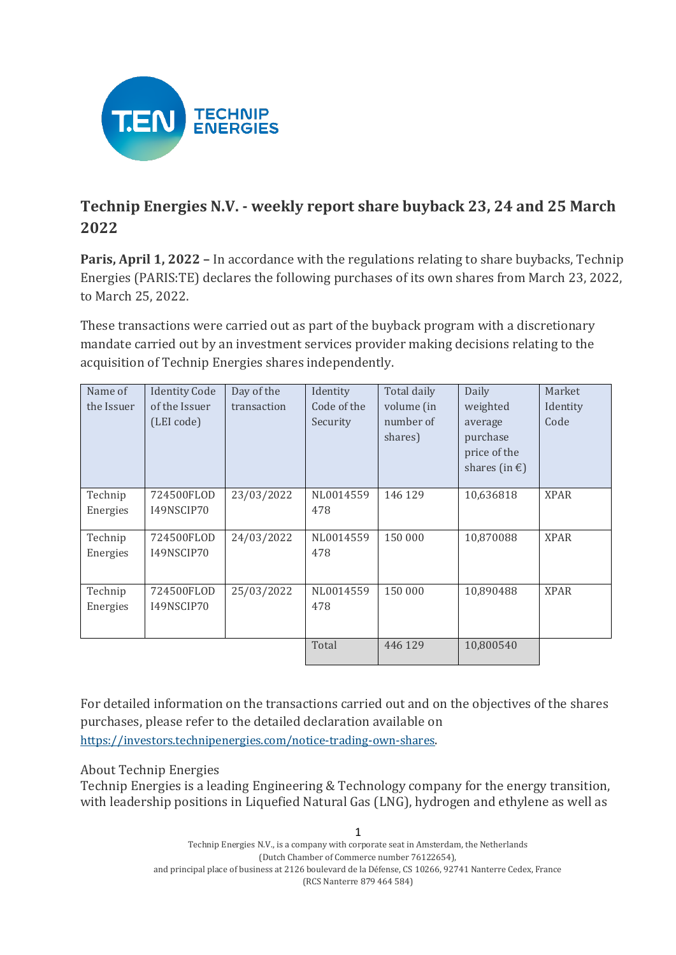

## **Technip Energies N.V. - weekly report share buyback 23, 24 and 25 March 2022**

**Paris, April 1, 2022 –** In accordance with the regulations relating to share buybacks, Technip Energies (PARIS:TE) declares the following purchases of its own shares from March 23, 2022, to March 25, 2022.

These transactions were carried out as part of the buyback program with a discretionary mandate carried out by an investment services provider making decisions relating to the acquisition of Technip Energies shares independently.

| Name of<br>the Issuer | <b>Identity Code</b><br>of the Issuer<br>(LEI code) | Day of the<br>transaction | Identity<br>Code of the<br>Security | Total daily<br>volume (in<br>number of<br>shares) | Daily<br>weighted<br>average<br>purchase | Market<br>Identity<br>Code |
|-----------------------|-----------------------------------------------------|---------------------------|-------------------------------------|---------------------------------------------------|------------------------------------------|----------------------------|
|                       |                                                     |                           |                                     |                                                   | price of the<br>shares (in $\epsilon$ )  |                            |
| Technip<br>Energies   | 724500FLOD<br>I49NSCIP70                            | 23/03/2022                | NL0014559<br>478                    | 146 129                                           | 10,636818                                | <b>XPAR</b>                |
| Technip<br>Energies   | 724500FLOD<br>I49NSCIP70                            | 24/03/2022                | NL0014559<br>478                    | 150 000                                           | 10,870088                                | <b>XPAR</b>                |
| Technip<br>Energies   | 724500FLOD<br>I49NSCIP70                            | 25/03/2022                | NL0014559<br>478                    | 150 000                                           | 10,890488                                | <b>XPAR</b>                |
|                       |                                                     |                           | Total                               | 446 129                                           | 10,800540                                |                            |

For detailed information on the transactions carried out and on the objectives of the shares purchases, please refer to the detailed declaration available on https://investors.technipenergies.com/notice-trading-own-shares.

## About Technip Energies

Technip Energies is a leading Engineering & Technology company for the energy transition, with leadership positions in Liquefied Natural Gas (LNG), hydrogen and ethylene as well as

> 1 Technip Energies N.V., is a company with corporate seat in Amsterdam, the Netherlands (Dutch Chamber of Commerce number 76122654), and principal place of business at 2126 boulevard de la Défense, CS 10266, 92741 Nanterre Cedex, France (RCS Nanterre 879 464 584)